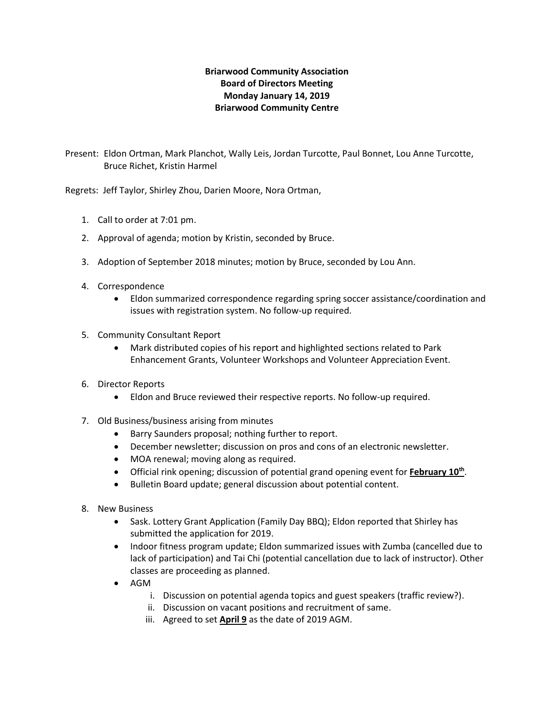## **Briarwood Community Association Board of Directors Meeting Monday January 14, 2019 Briarwood Community Centre**

Present: Eldon Ortman, Mark Planchot, Wally Leis, Jordan Turcotte, Paul Bonnet, Lou Anne Turcotte, Bruce Richet, Kristin Harmel

Regrets: Jeff Taylor, Shirley Zhou, Darien Moore, Nora Ortman,

- 1. Call to order at 7:01 pm.
- 2. Approval of agenda; motion by Kristin, seconded by Bruce.
- 3. Adoption of September 2018 minutes; motion by Bruce, seconded by Lou Ann.
- 4. Correspondence
	- Eldon summarized correspondence regarding spring soccer assistance/coordination and issues with registration system. No follow-up required.
- 5. Community Consultant Report
	- Mark distributed copies of his report and highlighted sections related to Park Enhancement Grants, Volunteer Workshops and Volunteer Appreciation Event.
- 6. Director Reports
	- Eldon and Bruce reviewed their respective reports. No follow-up required.
- 7. Old Business/business arising from minutes
	- Barry Saunders proposal; nothing further to report.
	- December newsletter; discussion on pros and cons of an electronic newsletter.
	- MOA renewal; moving along as required.
	- Official rink opening; discussion of potential grand opening event for **February 10th** .
	- Bulletin Board update; general discussion about potential content.
- 8. New Business
	- Sask. Lottery Grant Application (Family Day BBQ); Eldon reported that Shirley has submitted the application for 2019.
	- Indoor fitness program update; Eldon summarized issues with Zumba (cancelled due to lack of participation) and Tai Chi (potential cancellation due to lack of instructor). Other classes are proceeding as planned.
	- AGM
		- i. Discussion on potential agenda topics and guest speakers (traffic review?).
		- ii. Discussion on vacant positions and recruitment of same.
		- iii. Agreed to set **April 9** as the date of 2019 AGM.